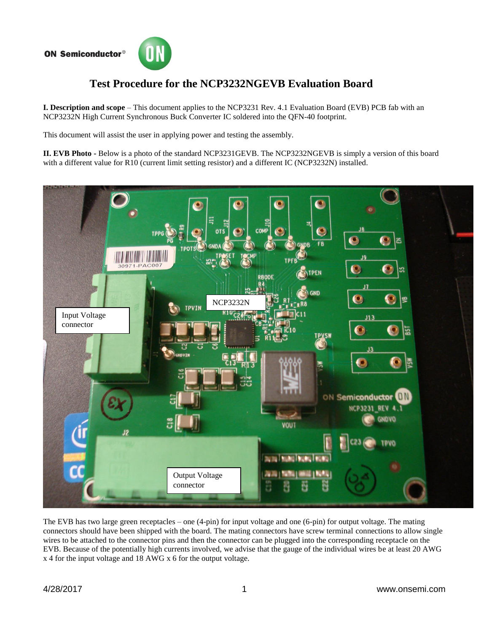## **ON Semiconductor®**



## **Test Procedure for the NCP3232NGEVB Evaluation Board**

**I. Description and scope** – This document applies to the NCP3231 Rev. 4.1 Evaluation Board (EVB) PCB fab with an NCP3232N High Current Synchronous Buck Converter IC soldered into the QFN-40 footprint.

This document will assist the user in applying power and testing the assembly.

**II. EVB Photo -** Below is a photo of the standard NCP3231GEVB. The NCP3232NGEVB is simply a version of this board with a different value for R10 (current limit setting resistor) and a different IC (NCP3232N) installed.



The EVB has two large green receptacles – one (4-pin) for input voltage and one (6-pin) for output voltage. The mating connectors should have been shipped with the board. The mating connectors have screw terminal connections to allow single wires to be attached to the connector pins and then the connector can be plugged into the corresponding receptacle on the EVB. Because of the potentially high currents involved, we advise that the gauge of the individual wires be at least 20 AWG x 4 for the input voltage and 18 AWG x 6 for the output voltage.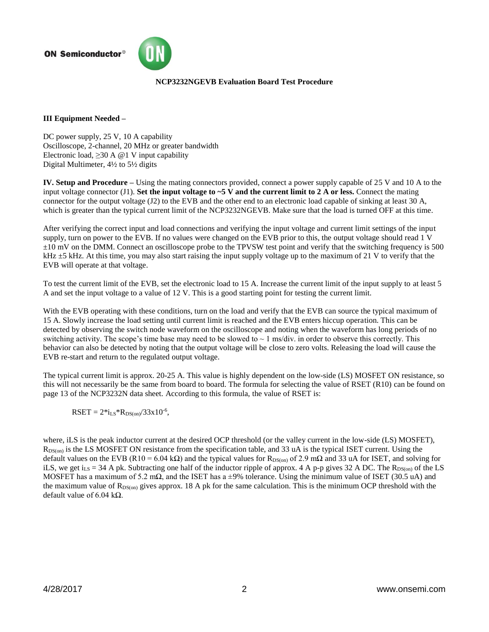**ON Semiconductor®** 



## **NCP3232NGEVB Evaluation Board Test Procedure**

## **III Equipment Needed –**

DC power supply, 25 V, 10 A capability Oscilloscope, 2-channel, 20 MHz or greater bandwidth Electronic load,  $\geq 30$  A @ 1 V input capability Digital Multimeter, 4½ to 5½ digits

**IV. Setup and Procedure –** Using the mating connectors provided, connect a power supply capable of 25 V and 10 A to the input voltage connector  $(J1)$ . **Set the input voltage to ~5 V and the current limit to 2 A or less.** Connect the mating connector for the output voltage (J2) to the EVB and the other end to an electronic load capable of sinking at least 30 A, which is greater than the typical current limit of the NCP3232NGEVB. Make sure that the load is turned OFF at this time.

After verifying the correct input and load connections and verifying the input voltage and current limit settings of the input supply, turn on power to the EVB. If no values were changed on the EVB prior to this, the output voltage should read 1 V ±10 mV on the DMM. Connect an oscilloscope probe to the TPVSW test point and verify that the switching frequency is 500  $kHz \pm 5$  kHz. At this time, you may also start raising the input supply voltage up to the maximum of 21 V to verify that the EVB will operate at that voltage.

To test the current limit of the EVB, set the electronic load to 15 A. Increase the current limit of the input supply to at least 5 A and set the input voltage to a value of 12 V. This is a good starting point for testing the current limit.

With the EVB operating with these conditions, turn on the load and verify that the EVB can source the typical maximum of 15 A. Slowly increase the load setting until current limit is reached and the EVB enters hiccup operation. This can be detected by observing the switch node waveform on the oscilloscope and noting when the waveform has long periods of no switching activity. The scope's time base may need to be slowed to  $\sim 1$  ms/div. in order to observe this correctly. This behavior can also be detected by noting that the output voltage will be close to zero volts. Releasing the load will cause the EVB re-start and return to the regulated output voltage.

The typical current limit is approx. 20-25 A. This value is highly dependent on the low-side (LS) MOSFET ON resistance, so this will not necessarily be the same from board to board. The formula for selecting the value of RSET (R10) can be found on page 13 of the NCP3232N data sheet. According to this formula, the value of RSET is:

 $RSET = 2 * i_{LS} * R_{DS(on)} / 33x10^{-6}$ ,

where, iLS is the peak inductor current at the desired OCP threshold (or the valley current in the low-side (LS) MOSFET),  $R_{DS(on)}$  is the LS MOSFET ON resistance from the specification table, and 33 uA is the typical ISET current. Using the default values on the EVB (R10 = 6.04 kΩ) and the typical values for R<sub>DS(on)</sub> of 2.9 mΩ and 33 uA for ISET, and solving for iLS, we get i<sub>LS</sub> = 34 A pk. Subtracting one half of the inductor ripple of approx. 4 A p-p gives 32 A DC. The R<sub>DS(on)</sub> of the LS MOSFET has a maximum of 5.2 m $\Omega$ , and the ISET has a ±9% tolerance. Using the minimum value of ISET (30.5 uA) and the maximum value of  $R_{DS(on)}$  gives approx. 18 A pk for the same calculation. This is the minimum OCP threshold with the default value of 6.04 kΩ.